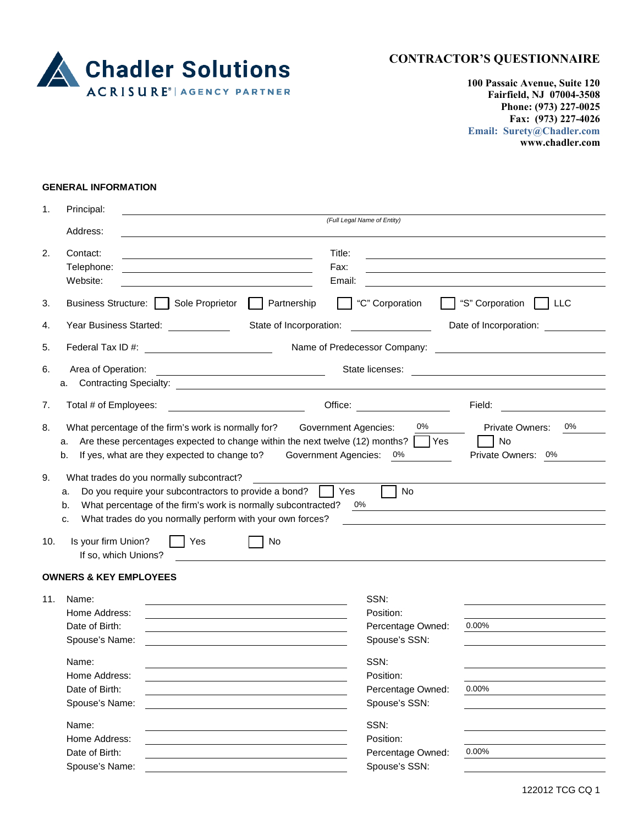

**100 Passaic Avenue, Suite 120 Fairfield, NJ 07004-3508 Phone: (973) 227-0025 Fax: (973) 227-4026 Email: Surety@Chadler.com www.chadler.com**

## **GENERAL INFORMATION**

| 1.                                                                                                                                                                       | Principal:                                                                                                                                                                                                                                                                                                                                       |                                                                                                                                      |                               |  |  |  |
|--------------------------------------------------------------------------------------------------------------------------------------------------------------------------|--------------------------------------------------------------------------------------------------------------------------------------------------------------------------------------------------------------------------------------------------------------------------------------------------------------------------------------------------|--------------------------------------------------------------------------------------------------------------------------------------|-------------------------------|--|--|--|
|                                                                                                                                                                          | Address:                                                                                                                                                                                                                                                                                                                                         | (Full Legal Name of Entity)                                                                                                          |                               |  |  |  |
| 2.                                                                                                                                                                       | Contact:                                                                                                                                                                                                                                                                                                                                         | Title:                                                                                                                               |                               |  |  |  |
|                                                                                                                                                                          | Telephone:                                                                                                                                                                                                                                                                                                                                       | Fax:                                                                                                                                 |                               |  |  |  |
|                                                                                                                                                                          | Website:                                                                                                                                                                                                                                                                                                                                         | Email:                                                                                                                               |                               |  |  |  |
| 3.                                                                                                                                                                       | Business Structure:    <br>Sole Proprietor                                                                                                                                                                                                                                                                                                       | "C" Corporation<br>Partnership                                                                                                       | "S" Corporation<br>  LLC      |  |  |  |
| 4.                                                                                                                                                                       | Year Business Started: \[\]                                                                                                                                                                                                                                                                                                                      | State of Incorporation:                                                                                                              | Date of Incorporation:        |  |  |  |
| 5.                                                                                                                                                                       | Name of Predecessor Company:<br><u> 1989 - John Stein, Amerikaansk politiker (</u>                                                                                                                                                                                                                                                               |                                                                                                                                      |                               |  |  |  |
| 6.<br>Area of Operation:<br>State licenses:<br><u> 1989 - Johann Barnett, fransk politiker (</u><br><u> 1989 - Johann Stein, mars an de France e Brasilian (b. 1989)</u> |                                                                                                                                                                                                                                                                                                                                                  |                                                                                                                                      |                               |  |  |  |
|                                                                                                                                                                          | а.                                                                                                                                                                                                                                                                                                                                               |                                                                                                                                      |                               |  |  |  |
| 7.                                                                                                                                                                       | Total # of Employees:                                                                                                                                                                                                                                                                                                                            |                                                                                                                                      | Field:                        |  |  |  |
| 8.                                                                                                                                                                       | 0%<br><b>Government Agencies:</b><br>0%<br><b>Private Owners:</b><br>What percentage of the firm's work is normally for?<br>Are these percentages expected to change within the next twelve (12) months? $\Box$ Yes<br>No<br>a.<br>If yes, what are they expected to change to?<br><b>Government Agencies:</b><br>b.<br>0%<br>Private Owners: 0% |                                                                                                                                      |                               |  |  |  |
| 9.                                                                                                                                                                       | What trades do you normally subcontract?<br>Do you require your subcontractors to provide a bond?<br>a.<br>What percentage of the firm's work is normally subcontracted?<br>b.<br>What trades do you normally perform with your own forces?<br>c.                                                                                                | Yes<br>0%                                                                                                                            | No                            |  |  |  |
| 10.                                                                                                                                                                      | Is your firm Union?<br>Yes<br>If so, which Unions?                                                                                                                                                                                                                                                                                               | No                                                                                                                                   |                               |  |  |  |
|                                                                                                                                                                          | <b>OWNERS &amp; KEY EMPLOYEES</b>                                                                                                                                                                                                                                                                                                                |                                                                                                                                      |                               |  |  |  |
| 11.                                                                                                                                                                      | Name:                                                                                                                                                                                                                                                                                                                                            | SSN:                                                                                                                                 |                               |  |  |  |
|                                                                                                                                                                          | Home Address:                                                                                                                                                                                                                                                                                                                                    | Position:                                                                                                                            |                               |  |  |  |
|                                                                                                                                                                          | Date of Birth:                                                                                                                                                                                                                                                                                                                                   |                                                                                                                                      | 0.00%<br>Percentage Owned:    |  |  |  |
|                                                                                                                                                                          | Spouse's Name:                                                                                                                                                                                                                                                                                                                                   | Spouse's SSN:<br><u> 1989 - Johann Barbara, martin amerikan basar dan basa dan basa dan basa dan basa dan basa dan basa dan basa</u> |                               |  |  |  |
|                                                                                                                                                                          | Name:                                                                                                                                                                                                                                                                                                                                            | SSN:                                                                                                                                 |                               |  |  |  |
|                                                                                                                                                                          | Home Address:                                                                                                                                                                                                                                                                                                                                    | Position:                                                                                                                            |                               |  |  |  |
|                                                                                                                                                                          | Date of Birth:                                                                                                                                                                                                                                                                                                                                   |                                                                                                                                      | $0.00\%$<br>Percentage Owned: |  |  |  |
|                                                                                                                                                                          | Spouse's Name:                                                                                                                                                                                                                                                                                                                                   | Spouse's SSN:                                                                                                                        |                               |  |  |  |
|                                                                                                                                                                          | Name:                                                                                                                                                                                                                                                                                                                                            | SSN:                                                                                                                                 |                               |  |  |  |
|                                                                                                                                                                          | Home Address:                                                                                                                                                                                                                                                                                                                                    | Position:                                                                                                                            |                               |  |  |  |
|                                                                                                                                                                          | Date of Birth:                                                                                                                                                                                                                                                                                                                                   |                                                                                                                                      | 0.00%<br>Percentage Owned:    |  |  |  |
|                                                                                                                                                                          | Spouse's Name:                                                                                                                                                                                                                                                                                                                                   | Spouse's SSN:                                                                                                                        |                               |  |  |  |

122012 TCG CQ 1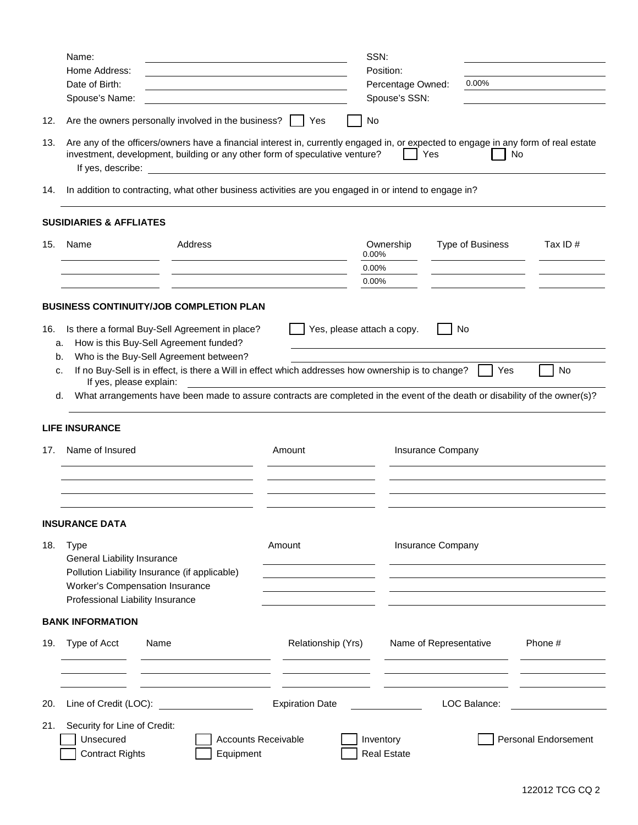|           | Name:                                                                                                                                                                                                                                                |                                                                                                                             |                            | SSN:                               |                        |                      |
|-----------|------------------------------------------------------------------------------------------------------------------------------------------------------------------------------------------------------------------------------------------------------|-----------------------------------------------------------------------------------------------------------------------------|----------------------------|------------------------------------|------------------------|----------------------|
|           | Home Address:<br>Date of Birth:                                                                                                                                                                                                                      |                                                                                                                             |                            | Position:                          | 0.00%                  |                      |
|           | Spouse's Name:                                                                                                                                                                                                                                       |                                                                                                                             |                            | Percentage Owned:<br>Spouse's SSN: |                        |                      |
| 12.       |                                                                                                                                                                                                                                                      | Are the owners personally involved in the business?     Yes                                                                 |                            | No                                 |                        |                      |
| 13.       | Are any of the officers/owners have a financial interest in, currently engaged in, or expected to engage in any form of real estate<br>investment, development, building or any other form of speculative venture?<br>Yes<br>No<br>If yes, describe: |                                                                                                                             |                            |                                    |                        |                      |
| 14.       |                                                                                                                                                                                                                                                      | In addition to contracting, what other business activities are you engaged in or intend to engage in?                       |                            |                                    |                        |                      |
|           | <b>SUSIDIARIES &amp; AFFLIATES</b>                                                                                                                                                                                                                   |                                                                                                                             |                            |                                    |                        |                      |
| 15.       | Name                                                                                                                                                                                                                                                 | Address                                                                                                                     |                            | Ownership<br>0.00%                 | Type of Business       | Tax ID $#$           |
|           |                                                                                                                                                                                                                                                      |                                                                                                                             |                            | 0.00%<br>0.00%                     |                        |                      |
|           |                                                                                                                                                                                                                                                      | <b>BUSINESS CONTINUITY/JOB COMPLETION PLAN</b>                                                                              |                            |                                    |                        |                      |
| 16.<br>a. |                                                                                                                                                                                                                                                      | Is there a formal Buy-Sell Agreement in place?<br>How is this Buy-Sell Agreement funded?                                    |                            | Yes, please attach a copy.         | No                     |                      |
| b.        |                                                                                                                                                                                                                                                      | Who is the Buy-Sell Agreement between?                                                                                      |                            |                                    |                        |                      |
| c.        | If yes, please explain:                                                                                                                                                                                                                              | If no Buy-Sell is in effect, is there a Will in effect which addresses how ownership is to change?                          |                            |                                    | Yes                    | No                   |
| d.        |                                                                                                                                                                                                                                                      | What arrangements have been made to assure contracts are completed in the event of the death or disability of the owner(s)? |                            |                                    |                        |                      |
|           | <b>LIFE INSURANCE</b>                                                                                                                                                                                                                                |                                                                                                                             |                            |                                    |                        |                      |
| 17.       | Name of Insured                                                                                                                                                                                                                                      |                                                                                                                             | Amount                     |                                    | Insurance Company      |                      |
|           |                                                                                                                                                                                                                                                      |                                                                                                                             |                            |                                    |                        |                      |
|           |                                                                                                                                                                                                                                                      |                                                                                                                             |                            |                                    |                        |                      |
|           | <b>INSURANCE DATA</b>                                                                                                                                                                                                                                |                                                                                                                             |                            |                                    |                        |                      |
| 18.       | <b>Type</b><br>General Liability Insurance                                                                                                                                                                                                           |                                                                                                                             | Amount                     |                                    | Insurance Company      |                      |
|           | Pollution Liability Insurance (if applicable)                                                                                                                                                                                                        |                                                                                                                             |                            |                                    |                        |                      |
|           | Worker's Compensation Insurance                                                                                                                                                                                                                      |                                                                                                                             |                            |                                    |                        |                      |
|           | Professional Liability Insurance                                                                                                                                                                                                                     |                                                                                                                             |                            |                                    |                        |                      |
|           | <b>BANK INFORMATION</b>                                                                                                                                                                                                                              |                                                                                                                             |                            |                                    |                        |                      |
| 19.       | Type of Acct                                                                                                                                                                                                                                         | Name                                                                                                                        | Relationship (Yrs)         |                                    | Name of Representative | Phone #              |
|           |                                                                                                                                                                                                                                                      |                                                                                                                             |                            |                                    |                        |                      |
| 20.       | Line of Credit (LOC):                                                                                                                                                                                                                                |                                                                                                                             | <b>Expiration Date</b>     |                                    | LOC Balance:           |                      |
| 21.       | Security for Line of Credit:<br>Unsecured                                                                                                                                                                                                            |                                                                                                                             | <b>Accounts Receivable</b> | Inventory                          |                        | Personal Endorsement |
|           | <b>Contract Rights</b>                                                                                                                                                                                                                               | Equipment                                                                                                                   |                            | <b>Real Estate</b>                 |                        |                      |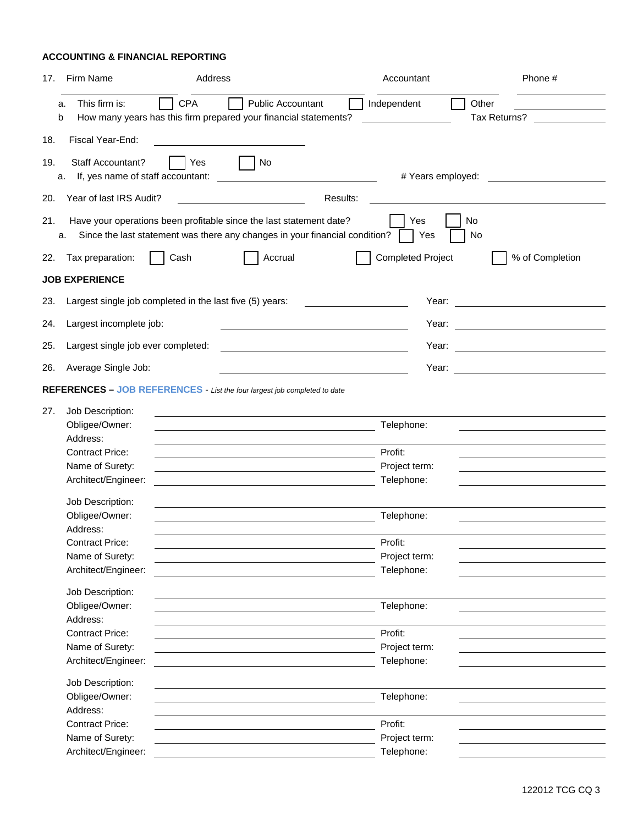## **ACCOUNTING & FINANCIAL REPORTING**

| 17. | Firm Name                                                                                                                                                | Address    |                                                                                                                        |                                                                                 | Accountant                  | Phone #                                                                                                                                                                                                                              |
|-----|----------------------------------------------------------------------------------------------------------------------------------------------------------|------------|------------------------------------------------------------------------------------------------------------------------|---------------------------------------------------------------------------------|-----------------------------|--------------------------------------------------------------------------------------------------------------------------------------------------------------------------------------------------------------------------------------|
|     | This firm is:<br>a.<br>How many years has this firm prepared your financial statements?<br>b                                                             | <b>CPA</b> | <b>Public Accountant</b>                                                                                               | Independent                                                                     |                             | Other<br>Tax Returns?                                                                                                                                                                                                                |
| 18. | Fiscal Year-End:                                                                                                                                         |            |                                                                                                                        |                                                                                 |                             |                                                                                                                                                                                                                                      |
| 19. | Staff Accountant?<br>If, yes name of staff accountant:<br>a.                                                                                             | Yes        | No                                                                                                                     |                                                                                 | # Years employed:           |                                                                                                                                                                                                                                      |
| 20. | Year of last IRS Audit?                                                                                                                                  |            |                                                                                                                        | Results:                                                                        |                             |                                                                                                                                                                                                                                      |
| 21. | Have your operations been profitable since the last statement date?<br>Since the last statement was there any changes in your financial condition?<br>a. |            |                                                                                                                        |                                                                                 | Yes<br>Yes                  | No<br>No                                                                                                                                                                                                                             |
| 22. | Tax preparation:                                                                                                                                         | Cash       | Accrual                                                                                                                |                                                                                 | <b>Completed Project</b>    | % of Completion                                                                                                                                                                                                                      |
|     | <b>JOB EXPERIENCE</b>                                                                                                                                    |            |                                                                                                                        |                                                                                 |                             |                                                                                                                                                                                                                                      |
| 23. | Largest single job completed in the last five (5) years:                                                                                                 |            |                                                                                                                        | $\mathcal{L}(\mathcal{L}(\mathcal{L}))$ . The set of $\mathcal{L}(\mathcal{L})$ | Year:                       | <u> 1989 - Johann Barbara, martin a</u>                                                                                                                                                                                              |
| 24. | Largest incomplete job:                                                                                                                                  |            |                                                                                                                        |                                                                                 | Year:                       | <u> 1989 - Johann Barbara, martin a</u>                                                                                                                                                                                              |
| 25. | Largest single job ever completed:                                                                                                                       |            | <u> 1989 - Johann Stoff, deutscher Stoffen und der Stoffen und der Stoffen und der Stoffen und der Stoffen und der</u> |                                                                                 | Year:                       | <u> The Common State of the Common State of the Common State of the Common State of the Common State of the Common State of the Common State of the Common State of the Common State of the Common State of the Common State of </u> |
| 26. | Average Single Job:                                                                                                                                      |            |                                                                                                                        |                                                                                 | Year:                       | <u> 1989 - Andrea Stadt Britain, marwolaeth a bh</u>                                                                                                                                                                                 |
|     | <b>REFERENCES - JOB REFERENCES</b> - List the four largest job completed to date                                                                         |            |                                                                                                                        |                                                                                 |                             |                                                                                                                                                                                                                                      |
|     |                                                                                                                                                          |            |                                                                                                                        |                                                                                 |                             |                                                                                                                                                                                                                                      |
| 27. | Job Description:<br>Obligee/Owner:<br>Address:                                                                                                           |            |                                                                                                                        | Telephone:                                                                      |                             |                                                                                                                                                                                                                                      |
|     | <b>Contract Price:</b>                                                                                                                                   |            |                                                                                                                        | Profit:                                                                         |                             |                                                                                                                                                                                                                                      |
|     | Name of Surety:                                                                                                                                          |            |                                                                                                                        |                                                                                 | Project term:               |                                                                                                                                                                                                                                      |
|     | Architect/Engineer:                                                                                                                                      |            |                                                                                                                        | Telephone:                                                                      |                             |                                                                                                                                                                                                                                      |
|     | Job Description:                                                                                                                                         |            |                                                                                                                        |                                                                                 |                             |                                                                                                                                                                                                                                      |
|     | Obligee/Owner:<br>Address:                                                                                                                               |            |                                                                                                                        | Telephone:                                                                      |                             |                                                                                                                                                                                                                                      |
|     | <b>Contract Price:</b>                                                                                                                                   |            |                                                                                                                        | Profit:                                                                         |                             |                                                                                                                                                                                                                                      |
|     | Name of Surety:                                                                                                                                          |            |                                                                                                                        |                                                                                 | Project term:               |                                                                                                                                                                                                                                      |
|     | Architect/Engineer:                                                                                                                                      |            |                                                                                                                        | Telephone:                                                                      |                             |                                                                                                                                                                                                                                      |
|     | Job Description:                                                                                                                                         |            |                                                                                                                        |                                                                                 |                             |                                                                                                                                                                                                                                      |
|     | Obligee/Owner:                                                                                                                                           |            |                                                                                                                        |                                                                                 | Telephone:                  |                                                                                                                                                                                                                                      |
|     | Address:                                                                                                                                                 |            |                                                                                                                        |                                                                                 |                             |                                                                                                                                                                                                                                      |
|     | <b>Contract Price:</b>                                                                                                                                   |            |                                                                                                                        | Profit:                                                                         |                             |                                                                                                                                                                                                                                      |
|     | Name of Surety:<br>Architect/Engineer:                                                                                                                   |            |                                                                                                                        |                                                                                 | Project term:<br>Telephone: |                                                                                                                                                                                                                                      |
|     |                                                                                                                                                          |            |                                                                                                                        |                                                                                 |                             |                                                                                                                                                                                                                                      |
|     | Job Description:                                                                                                                                         |            |                                                                                                                        |                                                                                 |                             |                                                                                                                                                                                                                                      |
|     | Obligee/Owner:                                                                                                                                           |            |                                                                                                                        |                                                                                 | Telephone:                  |                                                                                                                                                                                                                                      |
|     | Address:                                                                                                                                                 |            |                                                                                                                        |                                                                                 |                             |                                                                                                                                                                                                                                      |
|     | <b>Contract Price:</b>                                                                                                                                   |            |                                                                                                                        | Profit:                                                                         |                             |                                                                                                                                                                                                                                      |
|     | Name of Surety:                                                                                                                                          |            |                                                                                                                        |                                                                                 | Project term:               |                                                                                                                                                                                                                                      |
|     | Architect/Engineer:                                                                                                                                      |            |                                                                                                                        | Telephone:                                                                      |                             |                                                                                                                                                                                                                                      |